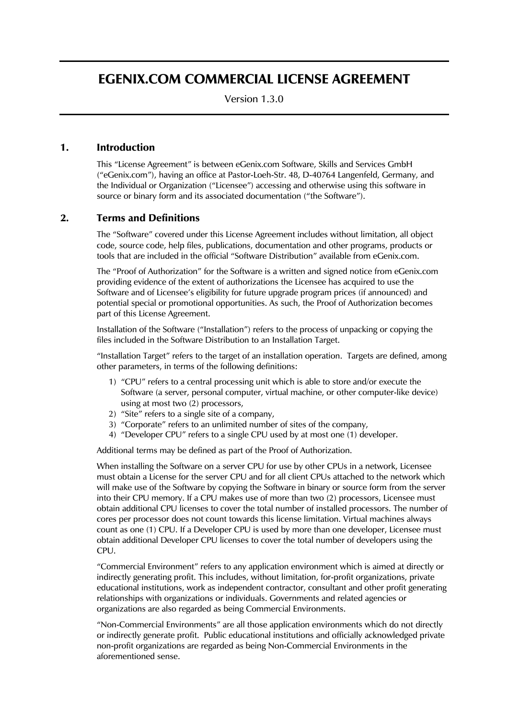# EGENIX.COM COMMERCIAL LICENSE AGREEMENT

Version 1.3.0

# 1. Introduction

This "License Agreement" is between eGenix.com Software, Skills and Services GmbH ("eGenix.com"), having an office at Pastor-Loeh-Str. 48, D-40764 Langenfeld, Germany, and the Individual or Organization ("Licensee") accessing and otherwise using this software in source or binary form and its associated documentation ("the Software").

# 2. Terms and Definitions

The "Software" covered under this License Agreement includes without limitation, all object code, source code, help files, publications, documentation and other programs, products or tools that are included in the official "Software Distribution" available from eGenix.com.

The "Proof of Authorization" for the Software is a written and signed notice from eGenix.com providing evidence of the extent of authorizations the Licensee has acquired to use the Software and of Licensee's eligibility for future upgrade program prices (if announced) and potential special or promotional opportunities. As such, the Proof of Authorization becomes part of this License Agreement.

Installation of the Software ("Installation") refers to the process of unpacking or copying the files included in the Software Distribution to an Installation Target.

"Installation Target" refers to the target of an installation operation. Targets are defined, among other parameters, in terms of the following definitions:

- 1) "CPU" refers to a central processing unit which is able to store and/or execute the Software (a server, personal computer, virtual machine, or other computer-like device) using at most two (2) processors,
- 2) "Site" refers to a single site of a company,
- 3) "Corporate" refers to an unlimited number of sites of the company,
- 4) "Developer CPU" refers to a single CPU used by at most one (1) developer.

Additional terms may be defined as part of the Proof of Authorization.

When installing the Software on a server CPU for use by other CPUs in a network, Licensee must obtain a License for the server CPU and for all client CPUs attached to the network which will make use of the Software by copying the Software in binary or source form from the server into their CPU memory. If a CPU makes use of more than two (2) processors, Licensee must obtain additional CPU licenses to cover the total number of installed processors. The number of cores per processor does not count towards this license limitation. Virtual machines always count as one (1) CPU. If a Developer CPU is used by more than one developer, Licensee must obtain additional Developer CPU licenses to cover the total number of developers using the CPU.

"Commercial Environment" refers to any application environment which is aimed at directly or indirectly generating profit. This includes, without limitation, for-profit organizations, private educational institutions, work as independent contractor, consultant and other profit generating relationships with organizations or individuals. Governments and related agencies or organizations are also regarded as being Commercial Environments.

"Non-Commercial Environments" are all those application environments which do not directly or indirectly generate profit. Public educational institutions and officially acknowledged private non-profit organizations are regarded as being Non-Commercial Environments in the aforementioned sense.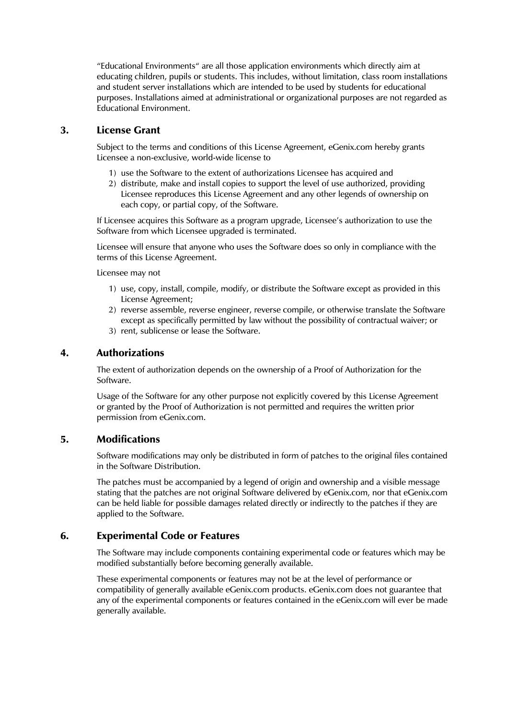"Educational Environments" are all those application environments which directly aim at educating children, pupils or students. This includes, without limitation, class room installations and student server installations which are intended to be used by students for educational purposes. Installations aimed at administrational or organizational purposes are not regarded as Educational Environment.

# 3. License Grant

Subject to the terms and conditions of this License Agreement, eGenix.com hereby grants Licensee a non-exclusive, world-wide license to

- 1) use the Software to the extent of authorizations Licensee has acquired and
- 2) distribute, make and install copies to support the level of use authorized, providing Licensee reproduces this License Agreement and any other legends of ownership on each copy, or partial copy, of the Software.

If Licensee acquires this Software as a program upgrade, Licensee's authorization to use the Software from which Licensee upgraded is terminated.

Licensee will ensure that anyone who uses the Software does so only in compliance with the terms of this License Agreement.

Licensee may not

- 1) use, copy, install, compile, modify, or distribute the Software except as provided in this License Agreement;
- 2) reverse assemble, reverse engineer, reverse compile, or otherwise translate the Software except as specifically permitted by law without the possibility of contractual waiver; or
- 3) rent, sublicense or lease the Software.

# 4. Authorizations

The extent of authorization depends on the ownership of a Proof of Authorization for the Software.

Usage of the Software for any other purpose not explicitly covered by this License Agreement or granted by the Proof of Authorization is not permitted and requires the written prior permission from eGenix.com.

# 5. Modifications

Software modifications may only be distributed in form of patches to the original files contained in the Software Distribution.

The patches must be accompanied by a legend of origin and ownership and a visible message stating that the patches are not original Software delivered by eGenix.com, nor that eGenix.com can be held liable for possible damages related directly or indirectly to the patches if they are applied to the Software.

# 6. Experimental Code or Features

The Software may include components containing experimental code or features which may be modified substantially before becoming generally available.

These experimental components or features may not be at the level of performance or compatibility of generally available eGenix.com products. eGenix.com does not guarantee that any of the experimental components or features contained in the eGenix.com will ever be made generally available.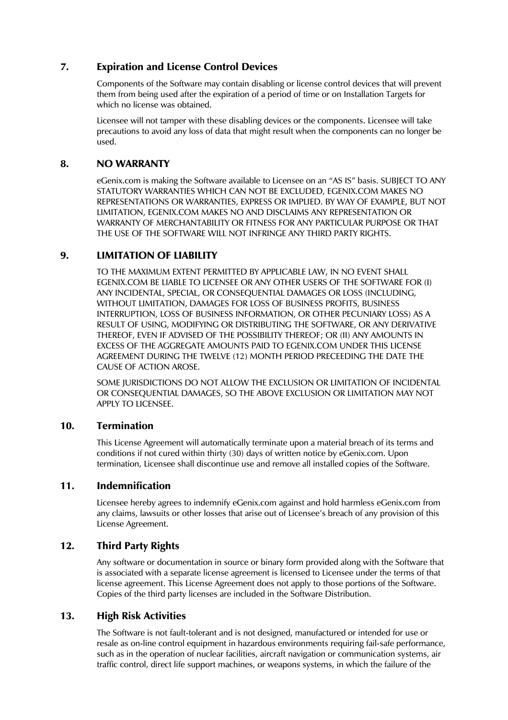# 7. Expiration and License Control Devices

Components of the Software may contain disabling or license control devices that will prevent them from being used after the expiration of a period of time or on Installation Targets for which no license was obtained.

Licensee will not tamper with these disabling devices or the components. Licensee will take precautions to avoid any loss of data that might result when the components can no longer be used.

# 8. NO WARRANTY

eGenix.com is making the Software available to Licensee on an "AS IS" basis. SUBJECT TO ANY STATUTORY WARRANTIES WHICH CAN NOT BE EXCLUDED, EGENIX.COM MAKES NO REPRESENTATIONS OR WARRANTIES, EXPRESS OR IMPLIED. BY WAY OF EXAMPLE, BUT NOT LIMITATION, EGENIX.COM MAKES NO AND DISCLAIMS ANY REPRESENTATION OR WARRANTY OF MERCHANTABILITY OR FITNESS FOR ANY PARTICULAR PURPOSE OR THAT THE USE OF THE SOFTWARE WILL NOT INFRINGE ANY THIRD PARTY RIGHTS.

# 9. LIMITATION OF LIABILITY

TO THE MAXIMUM EXTENT PERMITTED BY APPLICABLE LAW, IN NO EVENT SHALL EGENIX.COM BE LIABLE TO LICENSEE OR ANY OTHER USERS OF THE SOFTWARE FOR (I) ANY INCIDENTAL, SPECIAL, OR CONSEQUENTIAL DAMAGES OR LOSS (INCLUDING, WITHOUT LIMITATION, DAMAGES FOR LOSS OF BUSINESS PROFITS, BUSINESS INTERRUPTION, LOSS OF BUSINESS INFORMATION, OR OTHER PECUNIARY LOSS) AS A RESULT OF USING, MODIFYING OR DISTRIBUTING THE SOFTWARE, OR ANY DERIVATIVE THEREOF, EVEN IF ADVISED OF THE POSSIBILITY THEREOF; OR (II) ANY AMOUNTS IN EXCESS OF THE AGGREGATE AMOUNTS PAID TO EGENIX.COM UNDER THIS LICENSE AGREEMENT DURING THE TWELVE (12) MONTH PERIOD PRECEEDING THE DATE THE CAUSE OF ACTION AROSE.

SOME JURISDICTIONS DO NOT ALLOW THE EXCLUSION OR LIMITATION OF INCIDENTAL OR CONSEQUENTIAL DAMAGES, SO THE ABOVE EXCLUSION OR LIMITATION MAY NOT APPLY TO LICENSEE.

# 10. Termination

This License Agreement will automatically terminate upon a material breach of its terms and conditions if not cured within thirty (30) days of written notice by eGenix.com. Upon termination, Licensee shall discontinue use and remove all installed copies of the Software.

# 11. Indemnification

Licensee hereby agrees to indemnify eGenix.com against and hold harmless eGenix.com from any claims, lawsuits or other losses that arise out of Licensee's breach of any provision of this License Agreement.

# 12. Third Party Rights

Any software or documentation in source or binary form provided along with the Software that is associated with a separate license agreement is licensed to Licensee under the terms of that license agreement. This License Agreement does not apply to those portions of the Software. Copies of the third party licenses are included in the Software Distribution.

# 13. High Risk Activities

The Software is not fault-tolerant and is not designed, manufactured or intended for use or resale as on-line control equipment in hazardous environments requiring fail-safe performance, such as in the operation of nuclear facilities, aircraft navigation or communication systems, air traffic control, direct life support machines, or weapons systems, in which the failure of the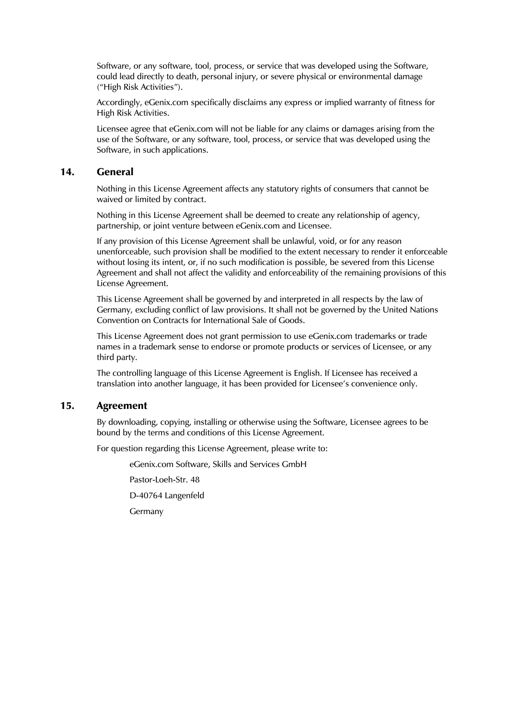Software, or any software, tool, process, or service that was developed using the Software, could lead directly to death, personal injury, or severe physical or environmental damage ("High Risk Activities").

Accordingly, eGenix.com specifically disclaims any express or implied warranty of fitness for High Risk Activities.

Licensee agree that eGenix.com will not be liable for any claims or damages arising from the use of the Software, or any software, tool, process, or service that was developed using the Software, in such applications.

#### 14. General

Nothing in this License Agreement affects any statutory rights of consumers that cannot be waived or limited by contract.

Nothing in this License Agreement shall be deemed to create any relationship of agency, partnership, or joint venture between eGenix.com and Licensee.

If any provision of this License Agreement shall be unlawful, void, or for any reason unenforceable, such provision shall be modified to the extent necessary to render it enforceable without losing its intent, or, if no such modification is possible, be severed from this License Agreement and shall not affect the validity and enforceability of the remaining provisions of this License Agreement.

This License Agreement shall be governed by and interpreted in all respects by the law of Germany, excluding conflict of law provisions. It shall not be governed by the United Nations Convention on Contracts for International Sale of Goods.

This License Agreement does not grant permission to use eGenix.com trademarks or trade names in a trademark sense to endorse or promote products or services of Licensee, or any third party.

The controlling language of this License Agreement is English. If Licensee has received a translation into another language, it has been provided for Licensee's convenience only.

#### 15. Agreement

By downloading, copying, installing or otherwise using the Software, Licensee agrees to be bound by the terms and conditions of this License Agreement.

For question regarding this License Agreement, please write to:

eGenix.com Software, Skills and Services GmbH

Pastor-Loeh-Str. 48

D-40764 Langenfeld

Germany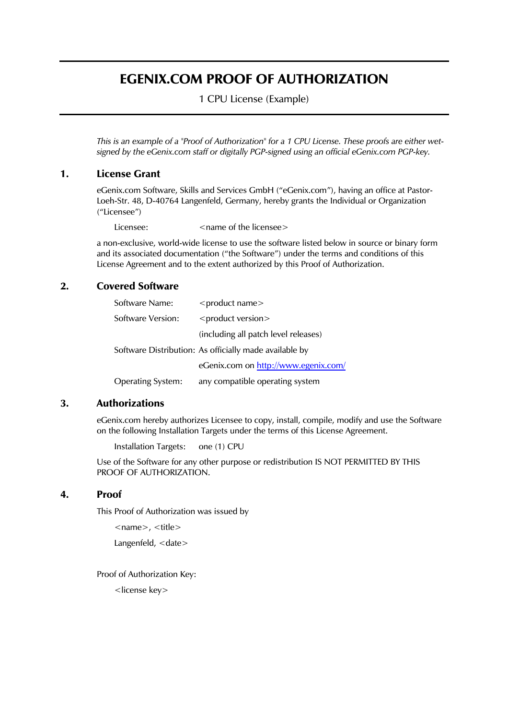# EGENIX.COM PROOF OF AUTHORIZATION

1 CPU License (Example)

*This is an example of a "Proof of Authorization" for a 1 CPU License. These proofs are either wetsigned by the eGenix.com staff or digitally PGP-signed using an official eGenix.com PGP-key.* 

# 1. License Grant

eGenix.com Software, Skills and Services GmbH ("eGenix.com"), having an office at Pastor-Loeh-Str. 48, D-40764 Langenfeld, Germany, hereby grants the Individual or Organization ("Licensee")

Licensee:  $\leq$   $\leq$   $\leq$   $\leq$   $\leq$   $\leq$   $\leq$   $\leq$   $\leq$   $\leq$   $\leq$   $\leq$   $\leq$   $\leq$   $\leq$   $\leq$   $\leq$   $\leq$   $\leq$   $\leq$   $\leq$   $\leq$   $\leq$   $\leq$   $\leq$   $\leq$   $\leq$   $\leq$   $\leq$   $\leq$   $\leq$   $\leq$   $\leq$   $\leq$   $\leq$   $\$ 

a non-exclusive, world-wide license to use the software listed below in source or binary form and its associated documentation ("the Software") under the terms and conditions of this License Agreement and to the extent authorized by this Proof of Authorization.

# 2. Covered Software

| Software Name:           | <product name=""></product>                            |
|--------------------------|--------------------------------------------------------|
| Software Version:        | <product version=""></product>                         |
|                          | (including all patch level releases)                   |
|                          | Software Distribution: As officially made available by |
|                          | eGenix.com on http://www.egenix.com/                   |
| <b>Operating System:</b> | any compatible operating system                        |

#### 3. Authorizations

eGenix.com hereby authorizes Licensee to copy, install, compile, modify and use the Software on the following Installation Targets under the terms of this License Agreement.

```
Installation Targets: one (1) CPU
```
Use of the Software for any other purpose or redistribution IS NOT PERMITTED BY THIS PROOF OF AUTHORIZATION.

#### 4. Proof

This Proof of Authorization was issued by

```
<name>, <title>
Langenfeld, <date>
```
Proof of Authorization Key:

<license key>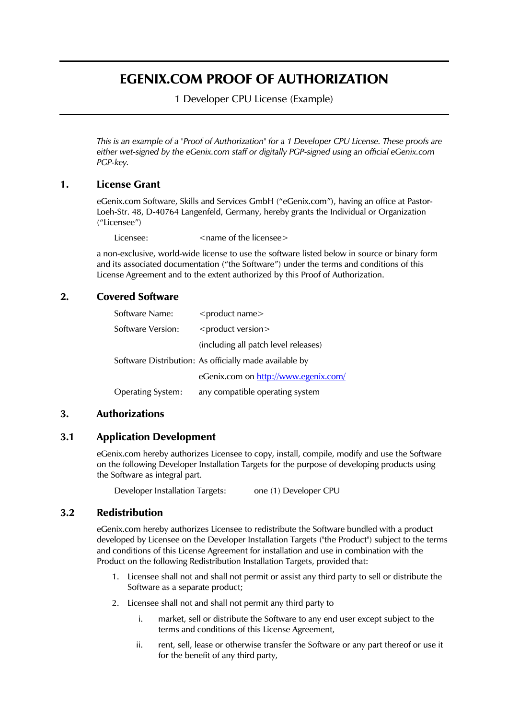# EGENIX.COM PROOF OF AUTHORIZATION

1 Developer CPU License (Example)

*This is an example of a "Proof of Authorization" for a 1 Developer CPU License. These proofs are either wet-signed by the eGenix.com staff or digitally PGP-signed using an official eGenix.com PGP-key.* 

# 1. License Grant

eGenix.com Software, Skills and Services GmbH ("eGenix.com"), having an office at Pastor-Loeh-Str. 48, D-40764 Langenfeld, Germany, hereby grants the Individual or Organization ("Licensee")

Licensee:  $\langle$  anne of the licensee

a non-exclusive, world-wide license to use the software listed below in source or binary form and its associated documentation ("the Software") under the terms and conditions of this License Agreement and to the extent authorized by this Proof of Authorization.

# 2. Covered Software

| Software Name:           | <product name=""></product>                            |
|--------------------------|--------------------------------------------------------|
| Software Version:        | <product version=""></product>                         |
|                          | (including all patch level releases)                   |
|                          | Software Distribution: As officially made available by |
|                          | eGenix.com on http://www.egenix.com/                   |
| <b>Operating System:</b> | any compatible operating system                        |

# 3. Authorizations

# 3.1 Application Development

eGenix.com hereby authorizes Licensee to copy, install, compile, modify and use the Software on the following Developer Installation Targets for the purpose of developing products using the Software as integral part.

Developer Installation Targets: one (1) Developer CPU

# 3.2 Redistribution

eGenix.com hereby authorizes Licensee to redistribute the Software bundled with a product developed by Licensee on the Developer Installation Targets ("the Product") subject to the terms and conditions of this License Agreement for installation and use in combination with the Product on the following Redistribution Installation Targets, provided that:

- 1. Licensee shall not and shall not permit or assist any third party to sell or distribute the Software as a separate product;
- 2. Licensee shall not and shall not permit any third party to
	- i. market, sell or distribute the Software to any end user except subject to the terms and conditions of this License Agreement,
	- ii. rent, sell, lease or otherwise transfer the Software or any part thereof or use it for the benefit of any third party,